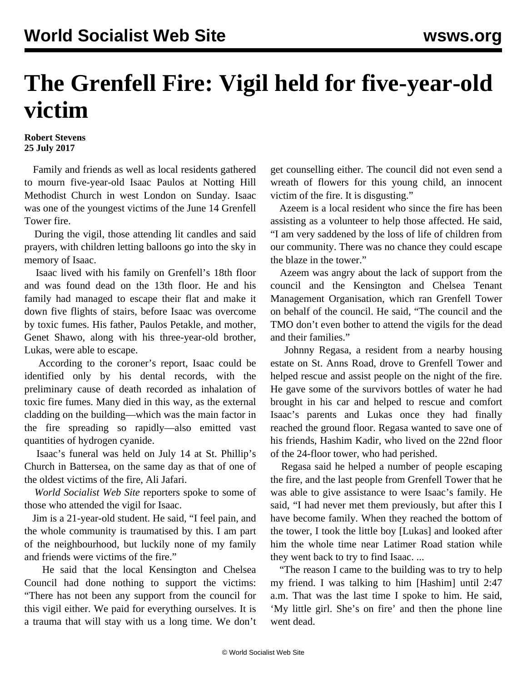## **The Grenfell Fire: Vigil held for five-year-old victim**

**Robert Stevens 25 July 2017**

 Family and friends as well as local residents gathered to mourn five-year-old Isaac Paulos at Notting Hill Methodist Church in west London on Sunday. Isaac was one of the youngest victims of the June 14 Grenfell Tower fire.

 During the vigil, those attending lit candles and said prayers, with children letting balloons go into the sky in memory of Isaac.

 Isaac lived with his family on Grenfell's 18th floor and was found dead on the 13th floor. He and his family had managed to escape their flat and make it down five flights of stairs, before Isaac was overcome by toxic fumes. His father, Paulos Petakle, and mother, Genet Shawo, along with his three-year-old brother, Lukas, were able to escape.

 According to the coroner's report, Isaac could be identified only by his dental records, with the preliminary cause of death recorded as inhalation of toxic fire fumes. Many died in this way, as the external cladding on the building—which was the main factor in the fire spreading so rapidly—also emitted vast quantities of hydrogen cyanide.

 Isaac's funeral was held on July 14 at St. Phillip's Church in Battersea, on the same day as that of one of the oldest victims of the fire, Ali Jafari.

 *World Socialist Web Site* reporters spoke to some of those who attended the vigil for Isaac.

 Jim is a 21-year-old student. He said, "I feel pain, and the whole community is traumatised by this. I am part of the neighbourhood, but luckily none of my family and friends were victims of the fire."

 He said that the local Kensington and Chelsea Council had done nothing to support the victims: "There has not been any support from the council for this vigil either. We paid for everything ourselves. It is a trauma that will stay with us a long time. We don't get counselling either. The council did not even send a wreath of flowers for this young child, an innocent victim of the fire. It is disgusting."

 Azeem is a local resident who since the fire has been assisting as a volunteer to help those affected. He said, "I am very saddened by the loss of life of children from our community. There was no chance they could escape the blaze in the tower."

 Azeem was angry about the lack of support from the council and the Kensington and Chelsea Tenant Management Organisation, which ran Grenfell Tower on behalf of the council. He said, "The council and the TMO don't even bother to attend the vigils for the dead and their families."

 Johnny Regasa, a resident from a nearby housing estate on St. Anns Road, drove to Grenfell Tower and helped rescue and assist people on the night of the fire. He gave some of the survivors bottles of water he had brought in his car and helped to rescue and comfort Isaac's parents and Lukas once they had finally reached the ground floor. Regasa wanted to save one of his friends, Hashim Kadir, who lived on the 22nd floor of the 24-floor tower, who had perished.

 Regasa said he helped a number of people escaping the fire, and the last people from Grenfell Tower that he was able to give assistance to were Isaac's family. He said, "I had never met them previously, but after this I have become family. When they reached the bottom of the tower, I took the little boy [Lukas] and looked after him the whole time near Latimer Road station while they went back to try to find Isaac. ...

 "The reason I came to the building was to try to help my friend. I was talking to him [Hashim] until 2:47 a.m. That was the last time I spoke to him. He said, 'My little girl. She's on fire' and then the phone line went dead.